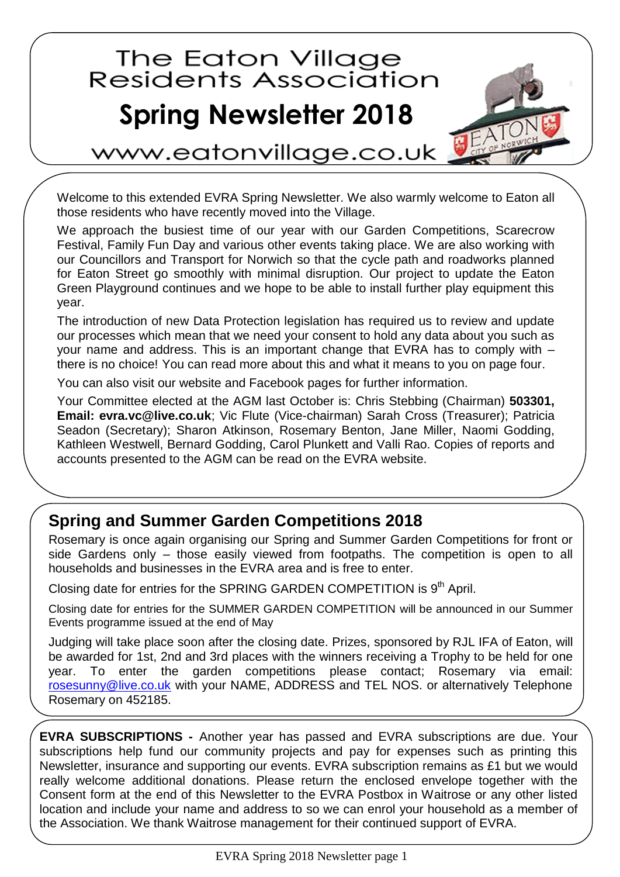## The Eaton Village<br>Residents Association **Spring Newsletter 2018**



ww.eatonvillage.co.uk

Welcome to this extended EVRA Spring Newsletter. We also warmly welcome to Eaton all those residents who have recently moved into the Village.

We approach the busiest time of our year with our Garden Competitions, Scarecrow Festival, Family Fun Day and various other events taking place. We are also working with our Councillors and Transport for Norwich so that the cycle path and roadworks planned for Eaton Street go smoothly with minimal disruption. Our project to update the Eaton Green Playground continues and we hope to be able to install further play equipment this year.

The introduction of new Data Protection legislation has required us to review and update our processes which mean that we need your consent to hold any data about you such as your name and address. This is an important change that EVRA has to comply with – there is no choice! You can read more about this and what it means to you on page four.

You can also visit our website and Facebook pages for further information.

Your Committee elected at the AGM last October is: Chris Stebbing (Chairman) **503301, Email: evra.vc@live.co.uk**; Vic Flute (Vice-chairman) Sarah Cross (Treasurer); Patricia Seadon (Secretary); Sharon Atkinson, Rosemary Benton, Jane Miller, Naomi Godding, Kathleen Westwell, Bernard Godding, Carol Plunkett and Valli Rao. Copies of reports and accounts presented to the AGM can be read on the EVRA website.

## **Spring and Summer Garden Competitions 2018**

Rosemary is once again organising our Spring and Summer Garden Competitions for front or side Gardens only – those easily viewed from footpaths. The competition is open to all households and businesses in the EVRA area and is free to enter.

Closing date for entries for the SPRING GARDEN COMPETITION is  $9<sup>th</sup>$  April.

Closing date for entries for the SUMMER GARDEN COMPETITION will be announced in our Summer Events programme issued at the end of May

Judging will take place soon after the closing date. Prizes, sponsored by RJL IFA of Eaton, will be awarded for 1st, 2nd and 3rd places with the winners receiving a Trophy to be held for one year. To enter the garden competitions please contact; Rosemary via email: [rosesunny@live.co.uk](mailto:rosesunny@live.co.uk) with your NAME, ADDRESS and TEL NOS. or alternatively Telephone Rosemary on 452185.

**EVRA SUBSCRIPTIONS -** Another year has passed and EVRA subscriptions are due. Your subscriptions help fund our community projects and pay for expenses such as printing this Newsletter, insurance and supporting our events. EVRA subscription remains as £1 but we would really welcome additional donations. Please return the enclosed envelope together with the Consent form at the end of this Newsletter to the EVRA Postbox in Waitrose or any other listed location and include your name and address to so we can enrol your household as a member of the Association. We thank Waitrose management for their continued support of EVRA.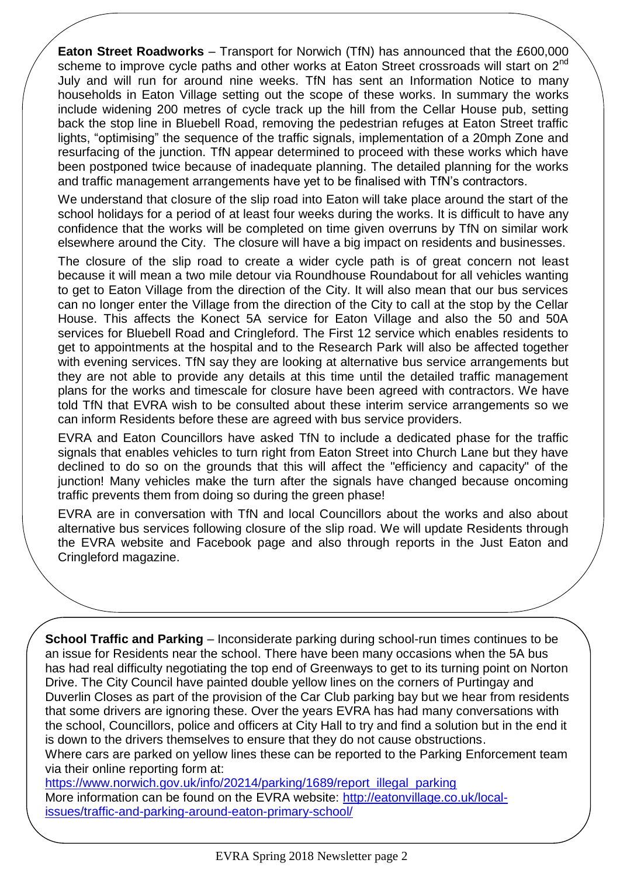**Eaton Street Roadworks** – Transport for Norwich (TfN) has announced that the £600,000 scheme to improve cycle paths and other works at Eaton Street crossroads will start on 2<sup>nd</sup> July and will run for around nine weeks. TfN has sent an Information Notice to many households in Eaton Village setting out the scope of these works. In summary the works include widening 200 metres of cycle track up the hill from the Cellar House pub, setting back the stop line in Bluebell Road, removing the pedestrian refuges at Eaton Street traffic lights, "optimising" the sequence of the traffic signals, implementation of a 20mph Zone and resurfacing of the junction. TfN appear determined to proceed with these works which have been postponed twice because of inadequate planning. The detailed planning for the works and traffic management arrangements have yet to be finalised with TfN's contractors.

We understand that closure of the slip road into Eaton will take place around the start of the school holidays for a period of at least four weeks during the works. It is difficult to have any confidence that the works will be completed on time given overruns by TfN on similar work elsewhere around the City. The closure will have a big impact on residents and businesses.

The closure of the slip road to create a wider cycle path is of great concern not least because it will mean a two mile detour via Roundhouse Roundabout for all vehicles wanting to get to Eaton Village from the direction of the City. It will also mean that our bus services can no longer enter the Village from the direction of the City to call at the stop by the Cellar House. This affects the Konect 5A service for Eaton Village and also the 50 and 50A services for Bluebell Road and Cringleford. The First 12 service which enables residents to get to appointments at the hospital and to the Research Park will also be affected together with evening services. TfN say they are looking at alternative bus service arrangements but they are not able to provide any details at this time until the detailed traffic management plans for the works and timescale for closure have been agreed with contractors. We have told TfN that EVRA wish to be consulted about these interim service arrangements so we can inform Residents before these are agreed with bus service providers.

EVRA and Eaton Councillors have asked TfN to include a dedicated phase for the traffic signals that enables vehicles to turn right from Eaton Street into Church Lane but they have declined to do so on the grounds that this will affect the "efficiency and capacity" of the junction! Many vehicles make the turn after the signals have changed because oncoming traffic prevents them from doing so during the green phase!

EVRA are in conversation with TfN and local Councillors about the works and also about alternative bus services following closure of the slip road. We will update Residents through the EVRA website and Facebook page and also through reports in the Just Eaton and Cringleford magazine.

**School Traffic and Parking** – Inconsiderate parking during school-run times continues to be an issue for Residents near the school. There have been many occasions when the 5A bus has had real difficulty negotiating the top end of Greenways to get to its turning point on Norton Drive. The City Council have painted double yellow lines on the corners of Purtingay and Duverlin Closes as part of the provision of the Car Club parking bay but we hear from residents that some drivers are ignoring these. Over the years EVRA has had many conversations with the school, Councillors, police and officers at City Hall to try and find a solution but in the end it is down to the drivers themselves to ensure that they do not cause obstructions.

Where cars are parked on yellow lines these can be reported to the Parking Enforcement team via their online reporting form at:

[https://www.norwich.gov.uk/info/20214/parking/1689/report\\_illegal\\_parking](https://www.norwich.gov.uk/info/20214/parking/1689/report_illegal_parking) More information can be found on the EVRA website: [http://eatonvillage.co.uk/local](http://eatonvillage.co.uk/local-issues/traffic-and-parking-around-eaton-primary-school/)[issues/traffic-and-parking-around-eaton-primary-school/](http://eatonvillage.co.uk/local-issues/traffic-and-parking-around-eaton-primary-school/)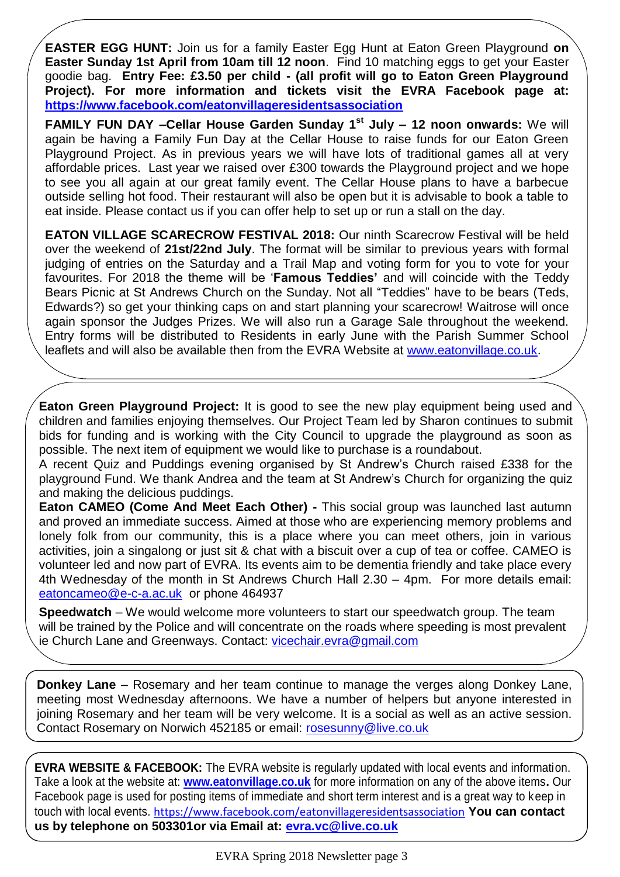**EASTER EGG HUNT:** Join us for a family Easter Egg Hunt at Eaton Green Playground **on Easter Sunday 1st April from 10am till 12 noon**. Find 10 matching eggs to get your Easter goodie bag. **Entry Fee: £3.50 per child - (all profit will go to Eaton Green Playground Project). For more information and tickets visit the EVRA Facebook page at: <https://www.facebook.com/eatonvillageresidentsassociation>**

**FAMILY FUN DAY –Cellar House Garden Sunday 1st July – 12 noon onwards:** We will again be having a Family Fun Day at the Cellar House to raise funds for our Eaton Green Playground Project. As in previous years we will have lots of traditional games all at very affordable prices. Last year we raised over £300 towards the Playground project and we hope to see you all again at our great family event. The Cellar House plans to have a barbecue outside selling hot food. Their restaurant will also be open but it is advisable to book a table to eat inside. Please contact us if you can offer help to set up or run a stall on the day.

**EATON VILLAGE SCARECROW FESTIVAL 2018: Our ninth Scarecrow Festival will be held** over the weekend of **21st/22nd July**. The format will be similar to previous years with formal judging of entries on the Saturday and a Trail Map and voting form for you to vote for your favourites. For 2018 the theme will be '**Famous Teddies'** and will coincide with the Teddy Bears Picnic at St Andrews Church on the Sunday. Not all "Teddies" have to be bears (Teds, Edwards?) so get your thinking caps on and start planning your scarecrow! Waitrose will once again sponsor the Judges Prizes. We will also run a Garage Sale throughout the weekend. Entry forms will be distributed to Residents in early June with the Parish Summer School leaflets and will also be available then from the EVRA Website at [www.eatonvillage.co.uk.](http://www.eatonvillage.co.uk/)

**Eaton Green Playground Project:** It is good to see the new play equipment being used and children and families enjoying themselves. Our Project Team led by Sharon continues to submit bids for funding and is working with the City Council to upgrade the playground as soon as possible. The next item of equipment we would like to purchase is a roundabout.

A recent Quiz and Puddings evening organised by St Andrew's Church raised £338 for the playground Fund. We thank Andrea and the team at St Andrew's Church for organizing the quiz and making the delicious puddings.

**Eaton CAMEO (Come And Meet Each Other) -** This social group was launched last autumn and proved an immediate success. Aimed at those who are experiencing memory problems and lonely folk from our community, this is a place where you can meet others, join in various activities, join a singalong or just sit & chat with a biscuit over a cup of tea or coffee. CAMEO is volunteer led and now part of EVRA. Its events aim to be dementia friendly and take place every 4th Wednesday of the month in St Andrews Church Hall 2.30 – 4pm. For more details email: <eatoncameo@e-c-a.ac.uk>or phone 464937

**Speedwatch** – We would welcome more volunteers to start our speedwatch group. The team will be trained by the Police and will concentrate on the roads where speeding is most prevalent ie Church Lane and Greenways. Contact:<vicechair.evra@gmail.com>

**Donkey Lane** – Rosemary and her team continue to manage the verges along Donkey Lane, meeting most Wednesday afternoons. We have a number of helpers but anyone interested in joining Rosemary and her team will be very welcome. It is a social as well as an active session. Contact Rosemary on Norwich 452185 or email: [rosesunny@live.co.uk](mailto:rosesunny@live.co.uk)

**EVRA WEBSITE & FACEBOOK:** The EVRA website is regularly updated with local events and information. Take a look at the website at: **[www.eatonvillage.co.uk](http://www.eatonvillage.co.uk/)** for more information on any of the above items**.** Our Facebook page is used for posting items of immediate and short term interest and is a great way to keep in touch with local events. <https://www.facebook.com/eatonvillageresidentsassociation> **You can contact us by telephone on 503301or via Email at:<evra.vc@live.co.uk>**